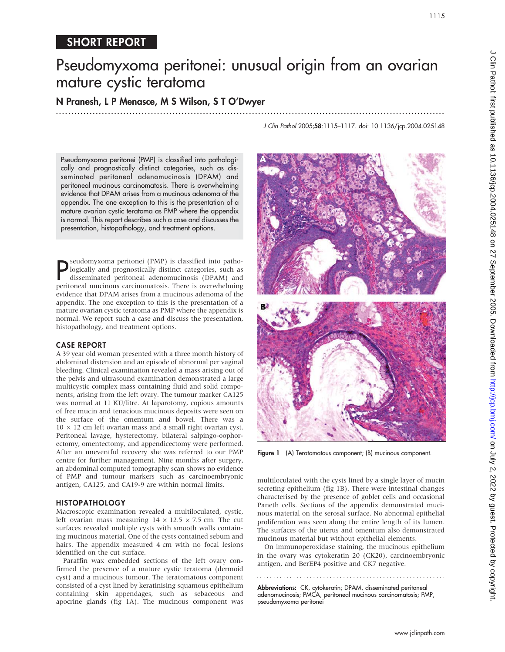# Pseudomyxoma peritonei: unusual origin from an ovarian mature cystic teratoma

N Pranesh, L P Menasce, M S Wilson, S T O'Dwyer

...............................................................................................................................

Pseudomyxoma peritonei (PMP) is classified into pathologically and prognostically distinct categories, such as disseminated peritoneal adenomucinosis (DPAM) and peritoneal mucinous carcinomatosis. There is overwhelming evidence that DPAM arises from a mucinous adenoma of the appendix. The one exception to this is the presentation of a mature ovarian cystic teratoma as PMP where the appendix is normal. This report describes such a case and discusses the presentation, histopathology, and treatment options.

**P**Seudomyxoma peritonei (PMP) is classified into patho-<br>logically and prognostically distinct categories, such as<br>disseminated peritoneal adenomucinosis (DPAM) and<br>peritoneal mucinous carcinomatosis. There is overwhelming seudomyxoma peritonei (PMP) is classified into pathologically and prognostically distinct categories, such as disseminated peritoneal adenomucinosis (DPAM) and evidence that DPAM arises from a mucinous adenoma of the appendix. The one exception to this is the presentation of a mature ovarian cystic teratoma as PMP where the appendix is normal. We report such a case and discuss the presentation, histopathology, and treatment options.

### CASE REPORT

A 39 year old woman presented with a three month history of abdominal distension and an episode of abnormal per vaginal bleeding. Clinical examination revealed a mass arising out of the pelvis and ultrasound examination demonstrated a large multicystic complex mass containing fluid and solid components, arising from the left ovary. The tumour marker CA125 was normal at 11 KU/litre. At laparotomy, copious amounts of free mucin and tenacious mucinous deposits were seen on the surface of the omentum and bowel. There was a  $10 \times 12$  cm left ovarian mass and a small right ovarian cyst. Peritoneal lavage, hysterectomy, bilateral salpingo-oophorectomy, omentectomy, and appendicectomy were performed. After an uneventful recovery she was referred to our PMP centre for further management. Nine months after surgery, an abdominal computed tomography scan shows no evidence of PMP and tumour markers such as carcinoembryonic antigen, CA125, and CA19-9 are within normal limits.

### HISTOPATHOLOGY

Macroscopic examination revealed a multiloculated, cystic, left ovarian mass measuring  $14 \times 12.5 \times 7.5$  cm. The cut surfaces revealed multiple cysts with smooth walls containing mucinous material. One of the cysts contained sebum and hairs. The appendix measured 4 cm with no focal lesions identified on the cut surface.

Paraffin wax embedded sections of the left ovary confirmed the presence of a mature cystic teratoma (dermoid cyst) and a mucinous tumour. The teratomatous component consisted of a cyst lined by keratinising squamous epithelium containing skin appendages, such as sebaceous and apocrine glands (fig 1A). The mucinous component was J Clin Pathol 2005;58:1115–1117. doi: 10.1136/jcp.2004.025148



Figure 1 (A) Teratomatous component; (B) mucinous component.

multiloculated with the cysts lined by a single layer of mucin secreting epithelium (fig 1B). There were intestinal changes characterised by the presence of goblet cells and occasional Paneth cells. Sections of the appendix demonstrated mucinous material on the serosal surface. No abnormal epithelial proliferation was seen along the entire length of its lumen. The surfaces of the uterus and omentum also demonstrated mucinous material but without epithelial elements.

On immunoperoxidase staining, the mucinous epithelium in the ovary was cytokeratin 20 (CK20), carcinoembryonic antigen, and BerEP4 positive and CK7 negative.

Abbreviations: CK, cytokeratin; DPAM, disseminated peritoneal adenomucinosis; PMCA, peritoneal mucinous carcinomatosis; PMP, pseudomyxoma peritonei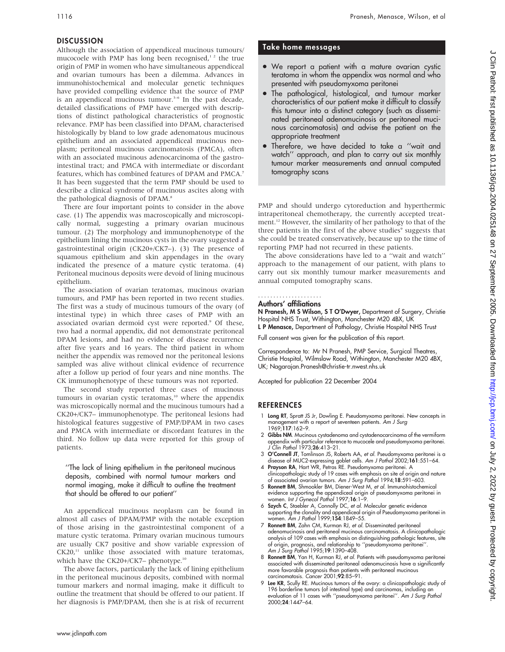# DISCUSSION

Although the association of appendiceal mucinous tumours/ mucocoele with PMP has long been recognised, $12$  the true origin of PMP in women who have simultaneous appendiceal and ovarian tumours has been a dilemma. Advances in immunohistochemical and molecular genetic techniques have provided compelling evidence that the source of PMP is an appendiceal mucinous tumour.<sup>3-6</sup> In the past decade, detailed classifications of PMP have emerged with descriptions of distinct pathological characteristics of prognostic relevance. PMP has been classified into DPAM, characterised histologically by bland to low grade adenomatous mucinous epithelium and an associated appendiceal mucinous neoplasm; peritoneal mucinous carcinomatosis (PMCA), often with an associated mucinous adenocarcinoma of the gastrointestinal tract; and PMCA with intermediate or discordant features, which has combined features of DPAM and PMCA.7 It has been suggested that the term PMP should be used to describe a clinical syndrome of mucinous ascites along with the pathological diagnosis of DPAM.<sup>8</sup>

There are four important points to consider in the above case. (1) The appendix was macroscopically and microscopically normal, suggesting a primary ovarian mucinous tumour. (2) The morphology and immunophenotype of the epithelium lining the mucinous cysts in the ovary suggested a gastrointestinal origin (CK20+/CK7–). (3) The presence of squamous epithelium and skin appendages in the ovary indicated the presence of a mature cystic teratoma. (4) Peritoneal mucinous deposits were devoid of lining mucinous epithelium.

The association of ovarian teratomas, mucinous ovarian tumours, and PMP has been reported in two recent studies. The first was a study of mucinous tumours of the ovary (of intestinal type) in which three cases of PMP with an associated ovarian dermoid cyst were reported.<sup>9</sup> Of these, two had a normal appendix, did not demonstrate peritoneal DPAM lesions, and had no evidence of disease recurrence after five years and 16 years. The third patient in whom neither the appendix was removed nor the peritoneal lesions sampled was alive without clinical evidence of recurrence after a follow up period of four years and nine months. The CK immunophenotype of these tumours was not reported.

The second study reported three cases of mucinous tumours in ovarian cystic teratomas, $10$  where the appendix was microscopically normal and the mucinous tumours had a CK20+/CK7– immunophenotype. The peritoneal lesions had histological features suggestive of PMP/DPAM in two cases and PMCA with intermediate or discordant features in the third. No follow up data were reported for this group of patients.

''The lack of lining epithelium in the peritoneal mucinous deposits, combined with normal tumour markers and normal imaging, make it difficult to outline the treatment that should be offered to our patient''

An appendiceal mucinous neoplasm can be found in almost all cases of DPAM/PMP with the notable exception of those arising in the gastrointestinal component of a mature cystic teratoma. Primary ovarian mucinous tumours are usually CK7 positive and show variable expression of  $CK20$ ,<sup>11</sup> unlike those associated with mature teratomas, which have the CK20+/CK7– phenotype.<sup>10</sup>

The above factors, particularly the lack of lining epithelium in the peritoneal mucinous deposits, combined with normal tumour markers and normal imaging, make it difficult to outline the treatment that should be offered to our patient. If her diagnosis is PMP/DPAM, then she is at risk of recurrent

# Take home messages

- . We report a patient with a mature ovarian cystic teratoma in whom the appendix was normal and who presented with pseudomyxoma peritonei
- The pathological, histological, and tumour marker characteristics of our patient make it difficult to classify this tumour into a distinct category (such as disseminated peritoneal adenomucinosis or peritoneal mucinous carcinomatosis) and advise the patient on the appropriate treatment
- Therefore, we have decided to take a "wait and watch'' approach, and plan to carry out six monthly tumour marker measurements and annual computed tomography scans

PMP and should undergo cytoreduction and hyperthermic intraperitoneal chemotherapy, the currently accepted treatment.<sup>12</sup> However, the similarity of her pathology to that of the three patients in the first of the above studies<sup>9</sup> suggests that she could be treated conservatively, because up to the time of reporting PMP had not recurred in these patients.

The above considerations have led to a ''wait and watch'' approach to the management of our patient, with plans to carry out six monthly tumour marker measurements and annual computed tomography scans.

# .....................

## Authors' affiliations

N Pranesh, M S Wilson, S T O'Dwyer, Department of Surgery, Christie Hospital NHS Trust, Withington, Manchester M20 4BX, UK

L P Menasce, Department of Pathology, Christie Hospital NHS Trust

Full consent was given for the publication of this report.

Correspondence to: Mr N Pranesh, PMP Service, Surgical Theatres, Christie Hospital, Wilmslow Road, Withington, Manchester M20 4BX, UK; Nagarajan.Pranesh@christie-tr.nwest.nhs.uk

Accepted for publication 22 December 2004

### REFERENCES

- 1 Long RT, Spratt JS Jr, Dowling E. Pseudomyxoma peritonei. New concepts in management with a report of seventeen patients. Am J Surg 1969;117:162–9.
- 2 Gibbs NM. Mucinous cystadenoma and cystadenocarcinoma of the vermiform appendix with particular reference to mucocele and pseudomyxoma peritonei. J Clin Pathol 1973;26:413–21.
- 3 O'Connell JT, Tomlinson JS, Roberts AA, et al. Pseudomyxoma peritonei is a
- disease of MUC2-expressing goblet cells. *Am J Pathol* 2002;1**61**:551–64.<br>4 P**rayson RA**, Hart WR, Petras RE. Pseudomyxoma peritonei. A clinicopathologic study of 19 cases with emphasis on site of origin and nature of associated ovarian tumors. Am J Surg Pathol 1994;18:591-603.
- 5 Ronnett BM, Shmookler BM, Diener-West M, et al. Immunohistochemical evidence supporting the appendiceal origin of pseudomyxoma peritonei in<br>women. *Int J Gynecol Pathol* 1997;**16**:1–9.
- 6 Szych C, Staebler A, Connolly DC, et al. Molecular genetic evidence supporting the clonality and appendiceal origin of Pseudomyxoma peritonei in<br>women. *Am J Pathol* 1999;**154**:1849–55.
- 7 Ronnett BM, Zahn CM, Kurman RJ, et al. Disseminated peritoneal adenomucinosis and peritoneal mucinous carcinomatosis. A clinicopathologic analysis of 109 cases with emphasis on distinguishing pathologic features, site ot origin, prognosis, and relationship to ''pseudomyxoma peritonei''.<br>A*m J Surg Pathol* 1995;**19**:1390–408.
- 8 Ronnett BM, Yan H, Kurman RJ, et al. Patients with pseudomyxoma peritonei associated with disseminated peritoneal adenomucinosis have a significantly more favorable prognosis than patients with peritoneal mucinous carcinomatosis. Cancer 2001;92:85–91.
- 9 Lee KR, Scully RE. Mucinous tumors of the ovary: a clinicopathologic study of 196 borderline tumors (of intestinal type) and carcinomas, including an evaluation of 11 cases with ''pseudomyxoma peritonei''. Am J Surg Pathol 2000;24:1447–64.